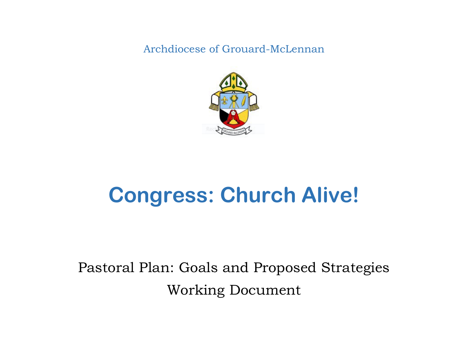Archdiocese of Grouard-McLennan



# **Congress: Church Alive!**

## Pastoral Plan: Goals and Proposed Strategies Working Document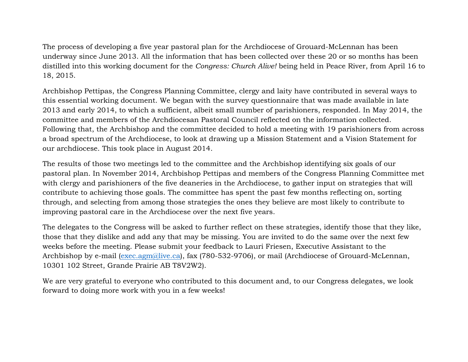The process of developing a five year pastoral plan for the Archdiocese of Grouard-McLennan has been underway since June 2013. All the information that has been collected over these 20 or so months has been distilled into this working document for the *Congress: Church Alive!* being held in Peace River, from April 16 to 18, 2015.

Archbishop Pettipas, the Congress Planning Committee, clergy and laity have contributed in several ways to this essential working document. We began with the survey questionnaire that was made available in late 2013 and early 2014, to which a sufficient, albeit small number of parishioners, responded. In May 2014, the committee and members of the Archdiocesan Pastoral Council reflected on the information collected. Following that, the Archbishop and the committee decided to hold a meeting with 19 parishioners from across a broad spectrum of the Archdiocese, to look at drawing up a Mission Statement and a Vision Statement for our archdiocese. This took place in August 2014.

The results of those two meetings led to the committee and the Archbishop identifying six goals of our pastoral plan. In November 2014, Archbishop Pettipas and members of the Congress Planning Committee met with clergy and parishioners of the five deaneries in the Archdiocese, to gather input on strategies that will contribute to achieving those goals. The committee has spent the past few months reflecting on, sorting through, and selecting from among those strategies the ones they believe are most likely to contribute to improving pastoral care in the Archdiocese over the next five years.

The delegates to the Congress will be asked to further reflect on these strategies, identify those that they like, those that they dislike and add any that may be missing. You are invited to do the same over the next few weeks before the meeting. Please submit your feedback to Lauri Friesen, Executive Assistant to the Archbishop by e-mail (exec.agm@live.ca), fax (780-532-9706), or mail (Archdiocese of Grouard-McLennan, 10301 102 Street, Grande Prairie AB T8V2W2).

We are very grateful to everyone who contributed to this document and, to our Congress delegates, we look forward to doing more work with you in a few weeks!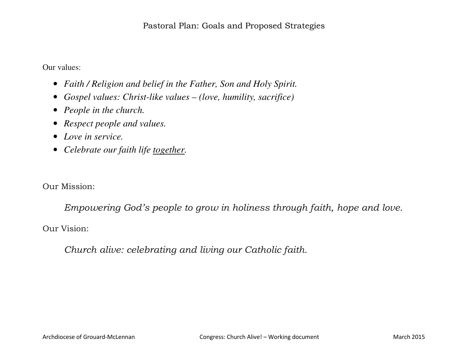Our values:

- *Faith / Religion and belief in the Father, Son and Holy Spirit.*
- *Gospel values: Christ-like values (love, humility, sacrifice)*
- *People in the church.*
- *Respect people and values.*
- *Love in service.*
- *Celebrate our faith life together.*

Our Mission:

*Empowering God's people to grow in holiness through faith, hope and love.* 

Our Vision:

*Church alive: celebrating and living our Catholic faith.*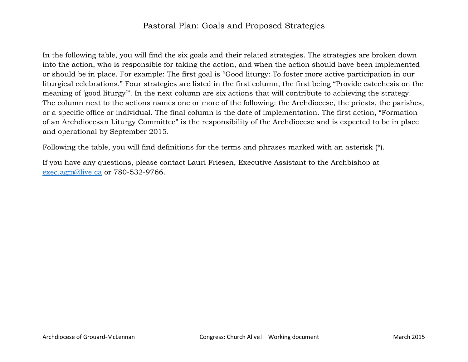#### Pastoral Plan: Goals and Proposed Strategies

In the following table, you will find the six goals and their related strategies. The strategies are broken down into the action, who is responsible for taking the action, and when the action should have been implemented or should be in place. For example: The first goal is "Good liturgy: To foster more active participation in our liturgical celebrations." Four strategies are listed in the first column, the first being "Provide catechesis on the meaning of 'good liturgy'". In the next column are six actions that will contribute to achieving the strategy. The column next to the actions names one or more of the following: the Archdiocese, the priests, the parishes, or a specific office or individual. The final column is the date of implementation. The first action, "Formation of an Archdiocesan Liturgy Committee" is the responsibility of the Archdiocese and is expected to be in place and operational by September 2015.

Following the table, you will find definitions for the terms and phrases marked with an asterisk (\*).

If you have any questions, please contact Lauri Friesen, Executive Assistant to the Archbishop at exec.agm@live.ca or 780-532-9766.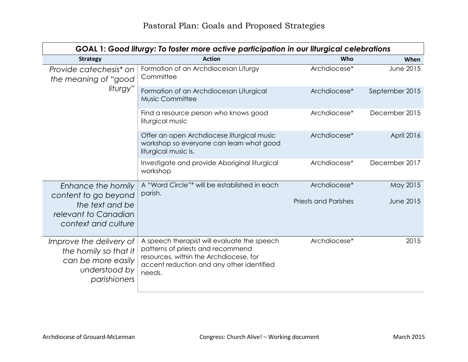| GOAL 1: Good liturgy: To foster more active participation in our liturgical celebrations                |                                                                                                                                                                                   |                             |                  |
|---------------------------------------------------------------------------------------------------------|-----------------------------------------------------------------------------------------------------------------------------------------------------------------------------------|-----------------------------|------------------|
| <b>Strategy</b>                                                                                         | <b>Action</b>                                                                                                                                                                     | Who                         | When             |
| Provide catechesis <sup>*</sup> on<br>the meaning of "good"                                             | Formation of an Archdiocesan Liturgy<br>Committee                                                                                                                                 | Archdiocese*                | <b>June 2015</b> |
| liturgy"                                                                                                | Formation of an Archdiocesan Liturgical<br>Music Committee                                                                                                                        | Archdiocese*                | September 2015   |
|                                                                                                         | Find a resource person who knows good<br>liturgical music                                                                                                                         | Archdiocese*                | December 2015    |
|                                                                                                         | Offer an open Archdiocese liturgical music<br>workshop so everyone can learn what good<br>liturgical music is.                                                                    | Archdiocese*                | April 2016       |
|                                                                                                         | Investigate and provide Aboriginal liturgical<br>workshop                                                                                                                         | Archdiocese*                | December 2017    |
| Enhance the homily<br>content to go beyond                                                              | A "Word Circle"* will be established in each<br>parish.                                                                                                                           | Archdiocese*                | May 2015         |
| the text and be<br>relevant to Canadian<br>context and culture                                          |                                                                                                                                                                                   | <b>Priests and Parishes</b> | June 2015        |
| Improve the delivery of<br>the homily so that it<br>can be more easily<br>understood by<br>parishioners | A speech therapist will evaluate the speech<br>patterns of priests and recommend<br>resources, within the Archdiocese, for<br>accent reduction and any other identified<br>needs. | Archdiocese*                | 2015             |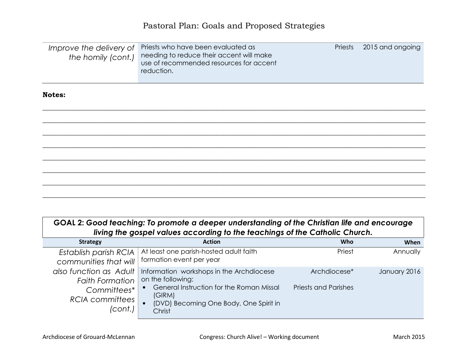| Improve the delivery of<br>the homily (cont.) | Priests who have been evaluated as<br>needing to reduce their accent will make<br>use of recommended resources for accent<br>reduction. | Priests | 2015 and ongoing |
|-----------------------------------------------|-----------------------------------------------------------------------------------------------------------------------------------------|---------|------------------|
| <b>Notes:</b>                                 |                                                                                                                                         |         |                  |
|                                               |                                                                                                                                         |         |                  |
|                                               |                                                                                                                                         |         |                  |
|                                               |                                                                                                                                         |         |                  |
|                                               |                                                                                                                                         |         |                  |
|                                               |                                                                                                                                         |         |                  |
|                                               |                                                                                                                                         |         |                  |
|                                               |                                                                                                                                         |         |                  |

| GOAL 2: Good teaching: To promote a deeper understanding of the Christian life and encourage |
|----------------------------------------------------------------------------------------------|
| living the gospel values according to the teachings of the Catholic Church.                  |

| <b>Strategy</b>        | <b>Action</b>                                    | Who                         | When         |
|------------------------|--------------------------------------------------|-----------------------------|--------------|
| Establish parish RCIA  | At least one parish-hosted adult faith           | Priest                      | Annually     |
| communities that will  | formation event per year                         |                             |              |
| also function as Adult | Information workshops in the Archdiocese         | Archdiocese*                | January 2016 |
| <b>Faith Formation</b> | on the following:                                |                             |              |
| Committees*            | General Instruction for the Roman Missal         | <b>Priests and Parishes</b> |              |
| <b>RCIA</b> committees | (GIRM)                                           |                             |              |
| (cont.)                | (DVD) Becoming One Body, One Spirit in<br>Christ |                             |              |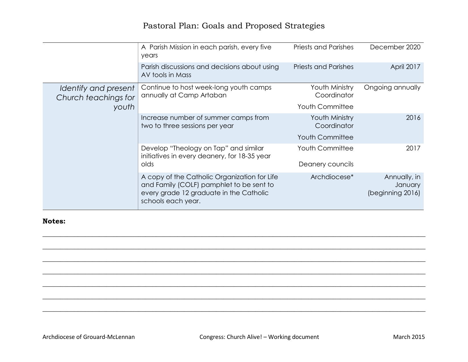|                                              | A Parish Mission in each parish, every five<br>years                                                                                                      | <b>Priests and Parishes</b>   | December 2020                               |
|----------------------------------------------|-----------------------------------------------------------------------------------------------------------------------------------------------------------|-------------------------------|---------------------------------------------|
|                                              | Parish discussions and decisions about using<br>AV tools in Mass                                                                                          | <b>Priests and Parishes</b>   | April 2017                                  |
| Identify and present<br>Church teachings for | Continue to host week-long youth camps<br>annually at Camp Artaban                                                                                        | Youth Ministry<br>Coordinator | Ongoing annually                            |
| youth                                        |                                                                                                                                                           | <b>Youth Committee</b>        |                                             |
|                                              | Increase number of summer camps from<br>two to three sessions per year                                                                                    | Youth Ministry<br>Coordinator | 2016                                        |
|                                              |                                                                                                                                                           | <b>Youth Committee</b>        |                                             |
|                                              | Develop "Theology on Tap" and similar<br>initiatives in every deanery, for 18-35 year                                                                     | <b>Youth Committee</b>        | 2017                                        |
|                                              | olds                                                                                                                                                      | Deanery councils              |                                             |
|                                              | A copy of the Catholic Organization for Life<br>and Family (COLF) pamphlet to be sent to<br>every grade 12 graduate in the Catholic<br>schools each year. | Archdiocese*                  | Annually, in<br>January<br>(beginning 2016) |

\_\_\_\_\_\_\_\_\_\_\_\_\_\_\_\_\_\_\_\_\_\_\_\_\_\_\_\_\_\_\_\_\_\_\_\_\_\_\_\_\_\_\_\_\_\_\_\_\_\_\_\_\_\_\_\_\_\_\_\_\_\_\_\_\_\_\_\_\_\_\_\_\_\_\_\_\_\_\_\_\_\_\_\_\_\_\_\_\_\_\_\_\_\_\_\_\_\_\_\_\_\_\_\_\_\_\_\_ \_\_\_\_\_\_\_\_\_\_\_\_\_\_\_\_\_\_\_\_\_\_\_\_\_\_\_\_\_\_\_\_\_\_\_\_\_\_\_\_\_\_\_\_\_\_\_\_\_\_\_\_\_\_\_\_\_\_\_\_\_\_\_\_\_\_\_\_\_\_\_\_\_\_\_\_\_\_\_\_\_\_\_\_\_\_\_\_\_\_\_\_\_\_\_\_\_\_\_\_\_\_\_\_\_\_\_\_

\_\_\_\_\_\_\_\_\_\_\_\_\_\_\_\_\_\_\_\_\_\_\_\_\_\_\_\_\_\_\_\_\_\_\_\_\_\_\_\_\_\_\_\_\_\_\_\_\_\_\_\_\_\_\_\_\_\_\_\_\_\_\_\_\_\_\_\_\_\_\_\_\_\_\_\_\_\_\_\_\_\_\_\_\_\_\_\_\_\_\_\_\_\_\_\_\_\_\_\_\_\_\_\_\_\_\_\_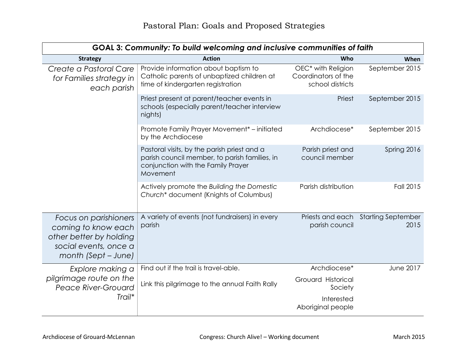| GOAL 3: Community: To build welcoming and inclusive communities of faith                                                |                                                                                                                                                |                                                                           |                                   |
|-------------------------------------------------------------------------------------------------------------------------|------------------------------------------------------------------------------------------------------------------------------------------------|---------------------------------------------------------------------------|-----------------------------------|
| <b>Strategy</b>                                                                                                         | <b>Action</b>                                                                                                                                  | Who                                                                       | When                              |
| Create a Pastoral Care<br>for Families strategy in<br>each parish                                                       | Provide information about baptism to<br>Catholic parents of unbaptized children at<br>time of kindergarten registration                        | OEC <sup>*</sup> with Religion<br>Coordinators of the<br>school districts | September 2015                    |
|                                                                                                                         | Priest present at parent/teacher events in<br>schools (especially parent/teacher interview<br>nights)                                          | Priest                                                                    | September 2015                    |
|                                                                                                                         | Promote Family Prayer Movement* - initiated<br>by the Archdiocese                                                                              | Archdiocese*                                                              | September 2015                    |
|                                                                                                                         | Pastoral visits, by the parish priest and a<br>parish council member, to parish families, in<br>conjunction with the Family Prayer<br>Movement | Parish priest and<br>council member                                       | Spring 2016                       |
|                                                                                                                         | Actively promote the Building the Domestic<br>Church* document (Knights of Columbus)                                                           | Parish distribution                                                       | <b>Fall 2015</b>                  |
| Focus on parishioners<br>coming to know each<br>other better by holding<br>social events, once a<br>month (Sept – June) | A variety of events (not fundraisers) in every<br>parish                                                                                       | Priests and each<br>parish council                                        | <b>Starting September</b><br>2015 |
| Explore making a                                                                                                        | Find out if the trail is travel-able.                                                                                                          | Archdiocese*                                                              | <b>June 2017</b>                  |
| pilgrimage route on the<br><b>Peace River-Grouard</b>                                                                   | Link this pilgrimage to the annual Faith Rally                                                                                                 | Grouard Historical<br>Society                                             |                                   |
| Trail*                                                                                                                  |                                                                                                                                                | Interested<br>Aboriginal people                                           |                                   |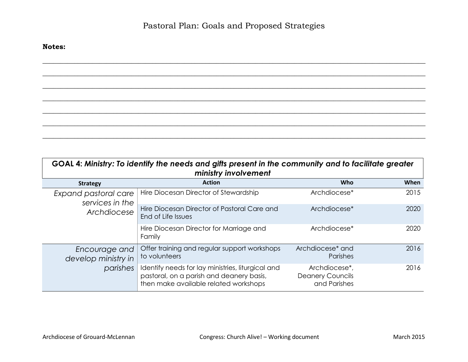\_\_\_\_\_\_\_\_\_\_\_\_\_\_\_\_\_\_\_\_\_\_\_\_\_\_\_\_\_\_\_\_\_\_\_\_\_\_\_\_\_\_\_\_\_\_\_\_\_\_\_\_\_\_\_\_\_\_\_\_\_\_\_\_\_\_\_\_\_\_\_\_\_\_\_\_\_\_\_\_\_\_\_\_\_\_\_\_\_\_\_\_\_\_\_\_\_\_\_\_\_\_\_\_\_\_\_\_ \_\_\_\_\_\_\_\_\_\_\_\_\_\_\_\_\_\_\_\_\_\_\_\_\_\_\_\_\_\_\_\_\_\_\_\_\_\_\_\_\_\_\_\_\_\_\_\_\_\_\_\_\_\_\_\_\_\_\_\_\_\_\_\_\_\_\_\_\_\_\_\_\_\_\_\_\_\_\_\_\_\_\_\_\_\_\_\_\_\_\_\_\_\_\_\_\_\_\_\_\_\_\_\_\_\_\_\_

\_\_\_\_\_\_\_\_\_\_\_\_\_\_\_\_\_\_\_\_\_\_\_\_\_\_\_\_\_\_\_\_\_\_\_\_\_\_\_\_\_\_\_\_\_\_\_\_\_\_\_\_\_\_\_\_\_\_\_\_\_\_\_\_\_\_\_\_\_\_\_\_\_\_\_\_\_\_\_\_\_\_\_\_\_\_\_\_\_\_\_\_\_\_\_\_\_\_\_\_\_\_\_\_\_\_\_\_

| GOAL 4: Ministry: To identify the needs and gifts present in the community and to facilitate greater<br>ministry involvement |                                                                                                                                        |                                                          |      |
|------------------------------------------------------------------------------------------------------------------------------|----------------------------------------------------------------------------------------------------------------------------------------|----------------------------------------------------------|------|
| <b>Strategy</b>                                                                                                              | <b>Action</b>                                                                                                                          | <b>Who</b>                                               | When |
| Expand pastoral care<br>services in the<br>Archdiocese                                                                       | Hire Diocesan Director of Stewardship                                                                                                  | Archdiocese*                                             | 2015 |
|                                                                                                                              | Hire Diocesan Director of Pastoral Care and<br>End of Life Issues                                                                      | Archdiocese <sup>*</sup>                                 | 2020 |
|                                                                                                                              | Hire Diocesan Director for Marriage and<br>Family                                                                                      | Archdiocese <sup>*</sup>                                 | 2020 |
| Encourage and<br>develop ministry in<br>parishes                                                                             | Offer training and regular support workshops<br>to volunteers                                                                          | Archdiocese <sup>*</sup> and<br>Parishes                 | 2016 |
|                                                                                                                              | Identify needs for lay ministries, liturgical and<br>pastoral, on a parish and deanery basis,<br>then make available related workshops | Archdiocese*,<br><b>Deanery Councils</b><br>and Parishes | 2016 |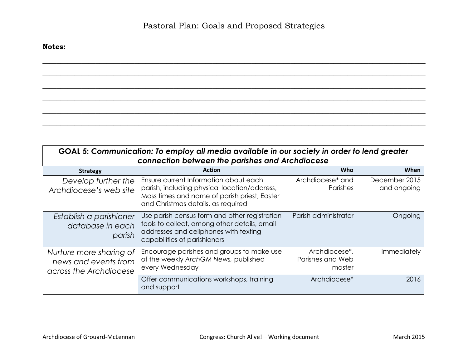\_\_\_\_\_\_\_\_\_\_\_\_\_\_\_\_\_\_\_\_\_\_\_\_\_\_\_\_\_\_\_\_\_\_\_\_\_\_\_\_\_\_\_\_\_\_\_\_\_\_\_\_\_\_\_\_\_\_\_\_\_\_\_\_\_\_\_\_\_\_\_\_\_\_\_\_\_\_\_\_\_\_\_\_\_\_\_\_\_\_\_\_\_\_\_\_\_\_\_\_\_\_\_\_\_\_\_\_ \_\_\_\_\_\_\_\_\_\_\_\_\_\_\_\_\_\_\_\_\_\_\_\_\_\_\_\_\_\_\_\_\_\_\_\_\_\_\_\_\_\_\_\_\_\_\_\_\_\_\_\_\_\_\_\_\_\_\_\_\_\_\_\_\_\_\_\_\_\_\_\_\_\_\_\_\_\_\_\_\_\_\_\_\_\_\_\_\_\_\_\_\_\_\_\_\_\_\_\_\_\_\_\_\_\_\_\_

| GOAL 5: Communication: To employ all media available in our society in order to lend greater |
|----------------------------------------------------------------------------------------------|
| connection between the parishes and Archdiocese                                              |

| <b>Strategy</b>                                                           | <b>Action</b>                                                                                                                                                               | <b>Who</b>                                  | When                         |
|---------------------------------------------------------------------------|-----------------------------------------------------------------------------------------------------------------------------------------------------------------------------|---------------------------------------------|------------------------------|
| Develop further the<br>Archdiocese's web site                             | Ensure current Information about each<br>parish, including physical location/address,<br>Mass times and name of parish priest; Easter<br>and Christmas details, as required | Archdiocese <sup>*</sup> and<br>Parishes    | December 2015<br>and ongoing |
| Establish a parishioner<br>database in each<br>parish                     | Use parish census form and other registration<br>tools to collect, among other details, email<br>addresses and cellphones with texting<br>capabilities of parishioners      | Parish administrator                        | Ongoing                      |
| Nurture more sharing of<br>news and events from<br>across the Archdiocese | Encourage parishes and groups to make use<br>of the weekly ArchGM News, published<br>every Wednesday                                                                        | Archdiocese*,<br>Parishes and Web<br>master | Immediately                  |
|                                                                           | Offer communications workshops, training<br>and support                                                                                                                     | Archdiocese*                                | 2016                         |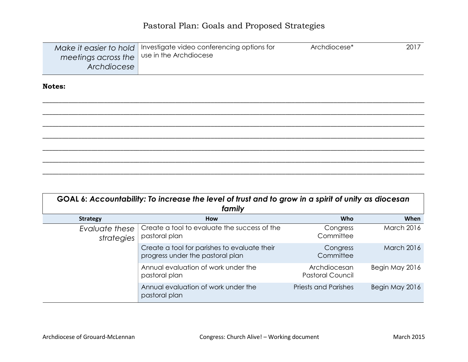|                                              | Make it easier to hold   Investigate video conferencing options for | Archdiocese* | 2017 |
|----------------------------------------------|---------------------------------------------------------------------|--------------|------|
| meetings across the   use in the Archdiocese |                                                                     |              |      |
| Archdiocese                                  |                                                                     |              |      |
|                                              |                                                                     |              |      |

| GOAL 6: Accountability: To increase the level of trust and to grow in a spirit of unity as diocesan<br>family |                                                                                  |                                         |                   |
|---------------------------------------------------------------------------------------------------------------|----------------------------------------------------------------------------------|-----------------------------------------|-------------------|
| <b>Strategy</b>                                                                                               | <b>How</b>                                                                       | Who                                     | When              |
| Evaluate these<br>strategies                                                                                  | Create a tool to evaluate the success of the<br>pastoral plan                    | Congress<br>Committee                   | <b>March 2016</b> |
|                                                                                                               | Create a tool for parishes to evaluate their<br>progress under the pastoral plan | Congress<br>Committee                   | <b>March 2016</b> |
|                                                                                                               | Annual evaluation of work under the<br>pastoral plan                             | Archdiocesan<br><b>Pastoral Council</b> | Begin May 2016    |
|                                                                                                               | Annual evaluation of work under the<br>pastoral plan                             | <b>Priests and Parishes</b>             | Begin May 2016    |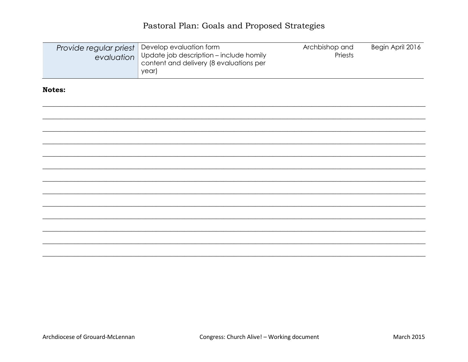### Pastoral Plan: Goals and Proposed Strategies

| Provide regular priest<br>evaluation | Develop evaluation form<br>Update job description - include homily<br>content and delivery (8 evaluations per<br>year) | Archbishop and<br>Priests | Begin April 2016 |
|--------------------------------------|------------------------------------------------------------------------------------------------------------------------|---------------------------|------------------|
| Notes:                               |                                                                                                                        |                           |                  |
|                                      |                                                                                                                        |                           |                  |
|                                      |                                                                                                                        |                           |                  |
|                                      |                                                                                                                        |                           |                  |
|                                      |                                                                                                                        |                           |                  |
|                                      |                                                                                                                        |                           |                  |
|                                      |                                                                                                                        |                           |                  |
|                                      |                                                                                                                        |                           |                  |